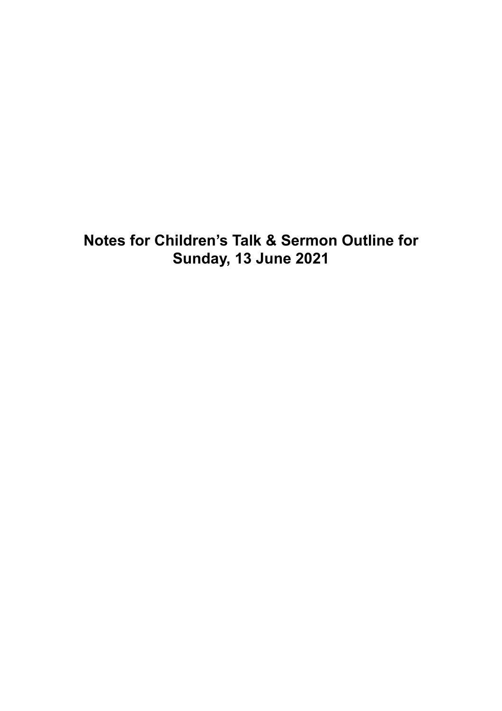**Notes for Children's Talk & Sermon Outline for Sunday, 13 June 2021**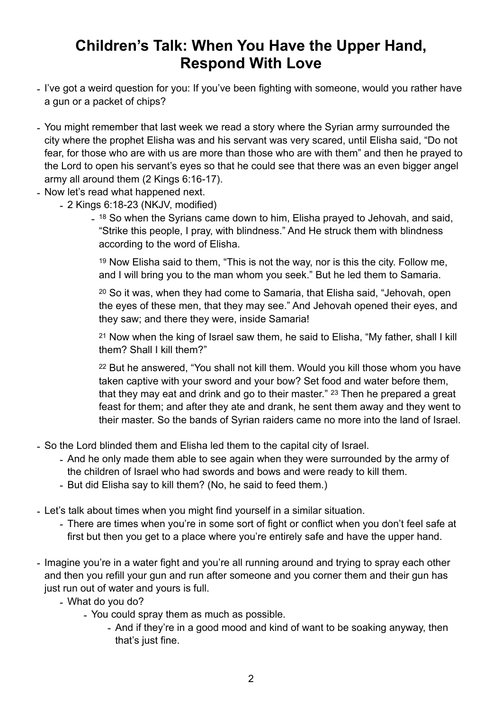# **Children's Talk: When You Have the Upper Hand, Respond With Love**

- I've got a weird question for you: If you've been fighting with someone, would you rather have a gun or a packet of chips?
- You might remember that last week we read a story where the Syrian army surrounded the city where the prophet Elisha was and his servant was very scared, until Elisha said, "Do not fear, for those who are with us are more than those who are with them" and then he prayed to the Lord to open his servant's eyes so that he could see that there was an even bigger angel army all around them (2 Kings 6:16-17).
- Now let's read what happened next.
	- 2 Kings 6:18-23 (NKJV, modified)
		- <sup>18</sup> So when the Syrians came down to him, Elisha prayed to Jehovah, and said, "Strike this people, I pray, with blindness." And He struck them with blindness according to the word of Elisha.

19 Now Elisha said to them, "This is not the way, nor is this the city. Follow me, and I will bring you to the man whom you seek." But he led them to Samaria.

20 So it was, when they had come to Samaria, that Elisha said, "Jehovah, open the eyes of these men, that they may see." And Jehovah opened their eyes, and they saw; and there they were, inside Samaria!

21 Now when the king of Israel saw them, he said to Elisha, "My father, shall I kill them? Shall I kill them?"

22 But he answered, "You shall not kill them. Would you kill those whom you have taken captive with your sword and your bow? Set food and water before them, that they may eat and drink and go to their master." 23 Then he prepared a great feast for them; and after they ate and drank, he sent them away and they went to their master. So the bands of Syrian raiders came no more into the land of Israel.

- So the Lord blinded them and Elisha led them to the capital city of Israel.
	- And he only made them able to see again when they were surrounded by the army of the children of Israel who had swords and bows and were ready to kill them.
	- But did Elisha say to kill them? (No, he said to feed them.)
- Let's talk about times when you might find yourself in a similar situation.
	- There are times when you're in some sort of fight or conflict when you don't feel safe at first but then you get to a place where you're entirely safe and have the upper hand.
- Imagine you're in a water fight and you're all running around and trying to spray each other and then you refill your gun and run after someone and you corner them and their gun has just run out of water and yours is full.

- What do you do?

- You could spray them as much as possible.
	- And if they're in a good mood and kind of want to be soaking anyway, then that's just fine.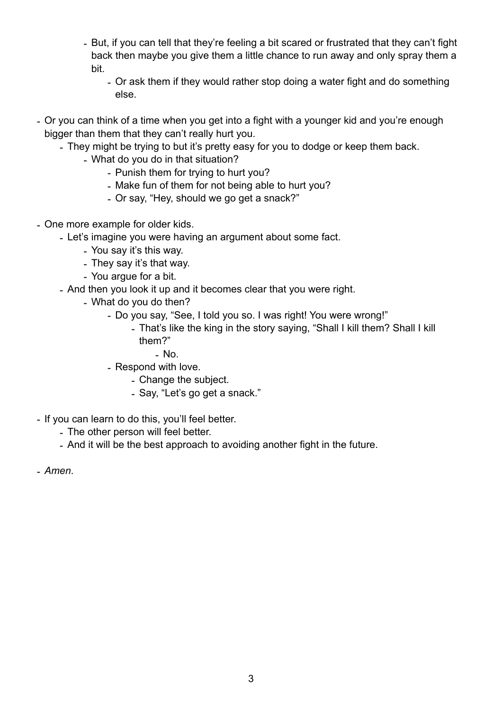- But, if you can tell that they're feeling a bit scared or frustrated that they can't fight back then maybe you give them a little chance to run away and only spray them a bit.
	- Or ask them if they would rather stop doing a water fight and do something else.
- Or you can think of a time when you get into a fight with a younger kid and you're enough bigger than them that they can't really hurt you.
	- They might be trying to but it's pretty easy for you to dodge or keep them back.
		- What do you do in that situation?
			- Punish them for trying to hurt you?
			- Make fun of them for not being able to hurt you?
			- Or say, "Hey, should we go get a snack?"
- One more example for older kids.
	- Let's imagine you were having an argument about some fact.
		- You say it's this way.
		- They say it's that way.
		- You argue for a bit.
	- And then you look it up and it becomes clear that you were right.
		- What do you do then?
			- Do you say, "See, I told you so. I was right! You were wrong!"
				- That's like the king in the story saying, "Shall I kill them? Shall I kill them?"
					- No.
			- Respond with love.
				- Change the subject.
				- Say, "Let's go get a snack."
- If you can learn to do this, you'll feel better.
	- The other person will feel better.
	- And it will be the best approach to avoiding another fight in the future.

- *Amen*.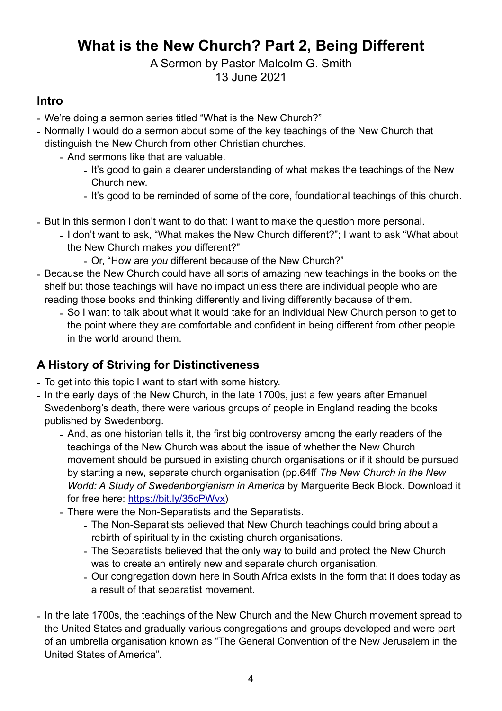# **What is the New Church? Part 2, Being Different**

#### A Sermon by Pastor Malcolm G. Smith 13 June 2021

### **Intro**

- We're doing a sermon series titled "What is the New Church?"
- Normally I would do a sermon about some of the key teachings of the New Church that distinguish the New Church from other Christian churches.
	- And sermons like that are valuable.
		- It's good to gain a clearer understanding of what makes the teachings of the New Church new.
		- It's good to be reminded of some of the core, foundational teachings of this church.
- But in this sermon I don't want to do that: I want to make the question more personal.
	- I don't want to ask, "What makes the New Church different?"; I want to ask "What about the New Church makes *you* different?"
		- Or, "How are *you* different because of the New Church?"
- Because the New Church could have all sorts of amazing new teachings in the books on the shelf but those teachings will have no impact unless there are individual people who are reading those books and thinking differently and living differently because of them.
	- So I want to talk about what it would take for an individual New Church person to get to the point where they are comfortable and confident in being different from other people in the world around them.

## **A History of Striving for Distinctiveness**

- To get into this topic I want to start with some history.
- In the early days of the New Church, in the late 1700s, just a few years after Emanuel Swedenborg's death, there were various groups of people in England reading the books published by Swedenborg.
	- And, as one historian tells it, the first big controversy among the early readers of the teachings of the New Church was about the issue of whether the New Church movement should be pursued in existing church organisations or if it should be pursued by starting a new, separate church organisation (pp.64ff *The New Church in the New World: A Study of Swedenborgianism in America* by Marguerite Beck Block. Download it for free here: [https://bit.ly/35cPWvx\)](https://bit.ly/35cPWvx)
	- There were the Non-Separatists and the Separatists.
		- The Non-Separatists believed that New Church teachings could bring about a rebirth of spirituality in the existing church organisations.
		- The Separatists believed that the only way to build and protect the New Church was to create an entirely new and separate church organisation.
		- Our congregation down here in South Africa exists in the form that it does today as a result of that separatist movement.
- In the late 1700s, the teachings of the New Church and the New Church movement spread to the United States and gradually various congregations and groups developed and were part of an umbrella organisation known as "The General Convention of the New Jerusalem in the United States of America".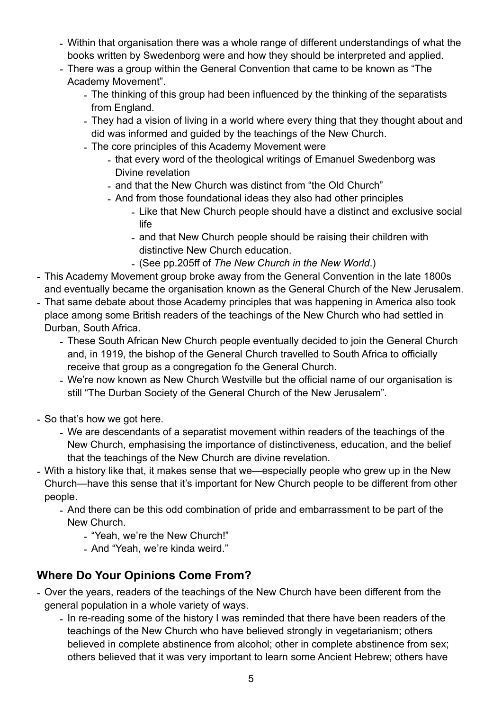- Within that organisation there was a whole range of different understandings of what the books written by Swedenborg were and how they should be interpreted and applied.
- There was a group within the General Convention that came to be known as "The Academy Movement".
	- The thinking of this group had been influenced by the thinking of the separatists from England.
	- They had a vision of living in a world where every thing that they thought about and did was informed and guided by the teachings of the New Church.
	- The core principles of this Academy Movement were
		- that every word of the theological writings of Emanuel Swedenborg was Divine revelation
		- and that the New Church was distinct from "the Old Church"
		- And from those foundational ideas they also had other principles
			- Like that New Church people should have a distinct and exclusive social life
			- and that New Church people should be raising their children with distinctive New Church education.
			- (See pp.205ff of *The New Church in the New World*.)
- This Academy Movement group broke away from the General Convention in the late 1800s and eventually became the organisation known as the General Church of the New Jerusalem.
- That same debate about those Academy principles that was happening in America also took place among some British readers of the teachings of the New Church who had settled in Durban, South Africa.
	- These South African New Church people eventually decided to join the General Church and, in 1919, the bishop of the General Church travelled to South Africa to officially receive that group as a congregation fo the General Church.
	- We're now known as New Church Westville but the official name of our organisation is still "The Durban Society of the General Church of the New Jerusalem".
- So that's how we got here.
	- We are descendants of a separatist movement within readers of the teachings of the New Church, emphasising the importance of distinctiveness, education, and the belief that the teachings of the New Church are divine revelation.
- With a history like that, it makes sense that we—especially people who grew up in the New Church—have this sense that it's important for New Church people to be different from other people.
	- And there can be this odd combination of pride and embarrassment to be part of the New Church.
		- "Yeah, we're the New Church!"
		- And "Yeah, we're kinda weird."

## **Where Do Your Opinions Come From?**

- Over the years, readers of the teachings of the New Church have been different from the general population in a whole variety of ways.
	- In re-reading some of the history I was reminded that there have been readers of the teachings of the New Church who have believed strongly in vegetarianism; others believed in complete abstinence from alcohol; other in complete abstinence from sex; others believed that it was very important to learn some Ancient Hebrew; others have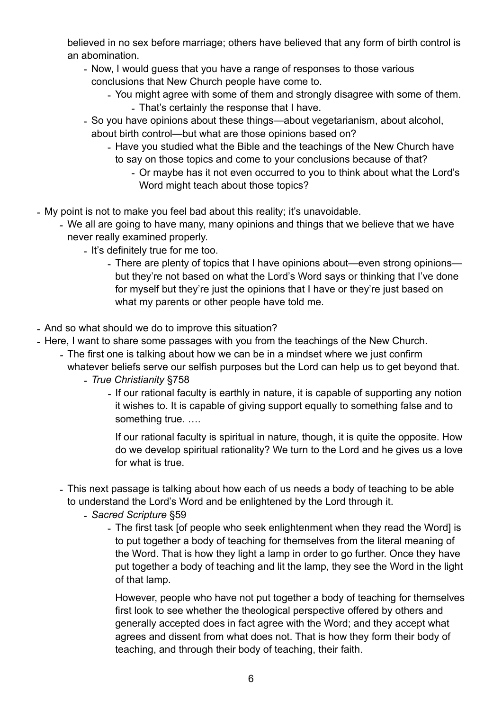believed in no sex before marriage; others have believed that any form of birth control is an abomination.

- Now, I would guess that you have a range of responses to those various conclusions that New Church people have come to.
	- You might agree with some of them and strongly disagree with some of them. - That's certainly the response that I have.
- So you have opinions about these things—about vegetarianism, about alcohol, about birth control—but what are those opinions based on?
	- Have you studied what the Bible and the teachings of the New Church have to say on those topics and come to your conclusions because of that?
		- Or maybe has it not even occurred to you to think about what the Lord's Word might teach about those topics?
- My point is not to make you feel bad about this reality; it's unavoidable.
	- We all are going to have many, many opinions and things that we believe that we have never really examined properly.
		- It's definitely true for me too.
			- There are plenty of topics that I have opinions about—even strong opinions but they're not based on what the Lord's Word says or thinking that I've done for myself but they're just the opinions that I have or they're just based on what my parents or other people have told me.
- And so what should we do to improve this situation?
- Here, I want to share some passages with you from the teachings of the New Church.
	- *-* The first one is talking about how we can be in a mindset where we just confirm
		- whatever beliefs serve our selfish purposes but the Lord can help us to get beyond that. *- True Christianity* §758
			- *-* If our rational faculty is earthly in nature, it is capable of supporting any notion it wishes to. It is capable of giving support equally to something false and to something true. ….

If our rational faculty is spiritual in nature, though, it is quite the opposite. How do we develop spiritual rationality? We turn to the Lord and he gives us a love for what is true.

- This next passage is talking about how each of us needs a body of teaching to be able to understand the Lord's Word and be enlightened by the Lord through it.
	- *Sacred Scripture* §59
		- The first task [of people who seek enlightenment when they read the Word] is to put together a body of teaching for themselves from the literal meaning of the Word. That is how they light a lamp in order to go further. Once they have put together a body of teaching and lit the lamp, they see the Word in the light of that lamp.

However, people who have not put together a body of teaching for themselves first look to see whether the theological perspective offered by others and generally accepted does in fact agree with the Word; and they accept what agrees and dissent from what does not. That is how they form their body of teaching, and through their body of teaching, their faith.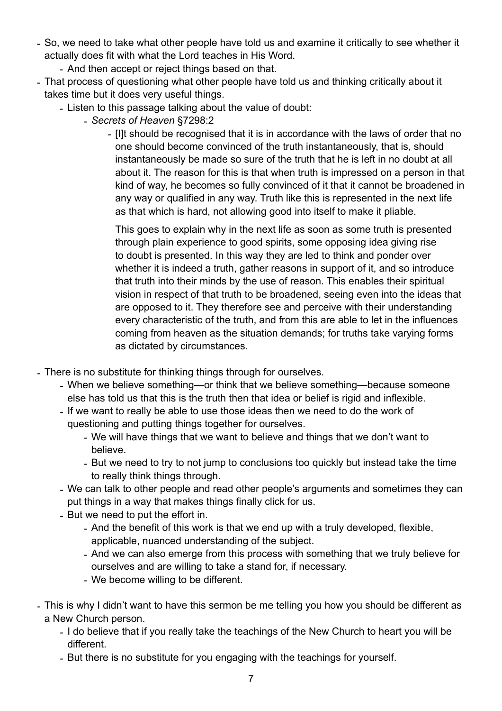- So, we need to take what other people have told us and examine it critically to see whether it actually does fit with what the Lord teaches in His Word.
	- And then accept or reject things based on that.
- That process of questioning what other people have told us and thinking critically about it takes time but it does very useful things.
	- Listen to this passage talking about the value of doubt:
		- *- Secrets of Heaven* §7298:2
			- *-* [I]t should be recognised that it is in accordance with the laws of order that no one should become convinced of the truth instantaneously, that is, should instantaneously be made so sure of the truth that he is left in no doubt at all about it. The reason for this is that when truth is impressed on a person in that kind of way, he becomes so fully convinced of it that it cannot be broadened in any way or qualified in any way. Truth like this is represented in the next life as that which is hard, not allowing good into itself to make it pliable.

This goes to explain why in the next life as soon as some truth is presented through plain experience to good spirits, some opposing idea giving rise to doubt is presented. In this way they are led to think and ponder over whether it is indeed a truth, gather reasons in support of it, and so introduce that truth into their minds by the use of reason. This enables their spiritual vision in respect of that truth to be broadened, seeing even into the ideas that are opposed to it. They therefore see and perceive with their understanding every characteristic of the truth, and from this are able to let in the influences coming from heaven as the situation demands; for truths take varying forms as dictated by circumstances.

- *-* There is no substitute for thinking things through for ourselves.
	- *-* When we believe something—or think that we believe something—because someone else has told us that this is the truth then that idea or belief is rigid and inflexible.
	- *-* If we want to really be able to use those ideas then we need to do the work of questioning and putting things together for ourselves.
		- *-* We will have things that we want to believe and things that we don't want to believe.
		- *-* But we need to try to not jump to conclusions too quickly but instead take the time to really think things through.
	- *-* We can talk to other people and read other people's arguments and sometimes they can put things in a way that makes things finally click for us.
	- *-* But we need to put the effort in.
		- *-* And the benefit of this work is that we end up with a truly developed, flexible, applicable, nuanced understanding of the subject.
		- *-* And we can also emerge from this process with something that we truly believe for ourselves and are willing to take a stand for, if necessary.
		- *-* We become willing to be different.
- *-* This is why I didn't want to have this sermon be me telling you how you should be different as a New Church person.
	- *-* I do believe that if you really take the teachings of the New Church to heart you will be different.
	- *-* But there is no substitute for you engaging with the teachings for yourself.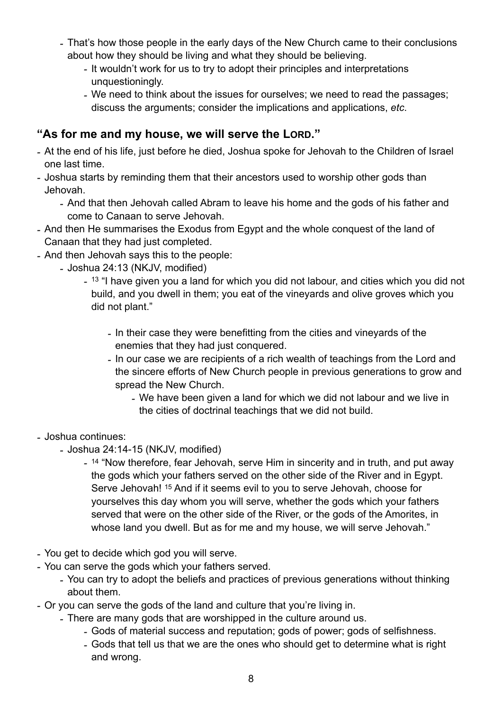- *-* That's how those people in the early days of the New Church came to their conclusions about how they should be living and what they should be believing.
	- *-* It wouldn't work for us to try to adopt their principles and interpretations unquestioningly.
	- *-* We need to think about the issues for ourselves; we need to read the passages; discuss the arguments; consider the implications and applications, *etc*.

### **"As for me and my house, we will serve the LORD."**

- *-* At the end of his life, just before he died, Joshua spoke for Jehovah to the Children of Israel one last time.
- *-* Joshua starts by reminding them that their ancestors used to worship other gods than Jehovah.
	- *-* And that then Jehovah called Abram to leave his home and the gods of his father and come to Canaan to serve Jehovah.
- *-* And then He summarises the Exodus from Egypt and the whole conquest of the land of Canaan that they had just completed.
- *-* And then Jehovah says this to the people:
	- *-* Joshua 24:13 (NKJV, modified)
		- *-* 13 "I have given you a land for which you did not labour, and cities which you did not build, and you dwell in them; you eat of the vineyards and olive groves which you did not plant."
			- *-* In their case they were benefitting from the cities and vineyards of the enemies that they had just conquered.
			- *-* In our case we are recipients of a rich wealth of teachings from the Lord and the sincere efforts of New Church people in previous generations to grow and spread the New Church.
				- *-* We have been given a land for which we did not labour and we live in the cities of doctrinal teachings that we did not build.
- *-* Joshua continues:
	- *-* Joshua 24:14-15 (NKJV, modified)
		- *-* 14 "Now therefore, fear Jehovah, serve Him in sincerity and in truth, and put away the gods which your fathers served on the other side of the River and in Egypt. Serve Jehovah! 15 And if it seems evil to you to serve Jehovah, choose for yourselves this day whom you will serve, whether the gods which your fathers served that were on the other side of the River, or the gods of the Amorites, in whose land you dwell. But as for me and my house, we will serve Jehovah."
- *-* You get to decide which god you will serve.
- *-* You can serve the gods which your fathers served.
	- *-* You can try to adopt the beliefs and practices of previous generations without thinking about them.
- *-* Or you can serve the gods of the land and culture that you're living in.
	- *-* There are many gods that are worshipped in the culture around us.
		- *-* Gods of material success and reputation; gods of power; gods of selfishness.
		- *-* Gods that tell us that we are the ones who should get to determine what is right and wrong.